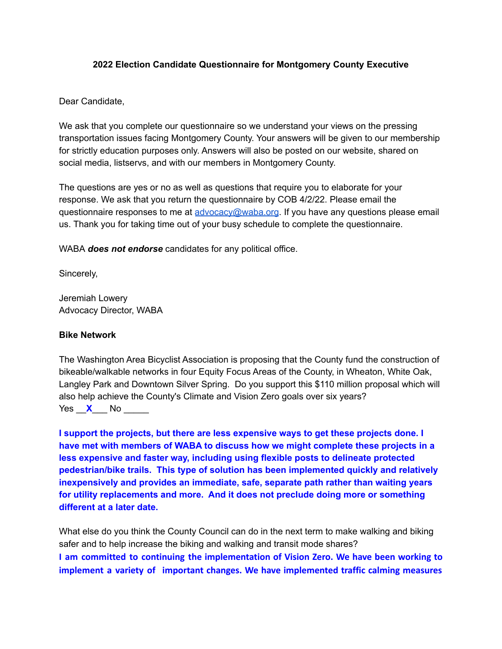# **2022 Election Candidate Questionnaire for Montgomery County Executive**

Dear Candidate,

We ask that you complete our questionnaire so we understand your views on the pressing transportation issues facing Montgomery County. Your answers will be given to our membership for strictly education purposes only. Answers will also be posted on our website, shared on social media, listservs, and with our members in Montgomery County.

The questions are yes or no as well as questions that require you to elaborate for your response. We ask that you return the questionnaire by COB 4/2/22. Please email the questionnaire responses to me at [advocacy@waba.org](mailto:advocacy@waba.org). If you have any questions please email us. Thank you for taking time out of your busy schedule to complete the questionnaire.

WABA *does not endorse* candidates for any political office.

Sincerely,

Jeremiah Lowery Advocacy Director, WABA

# **Bike Network**

The Washington Area Bicyclist Association is proposing that the County fund the construction of bikeable/walkable networks in four Equity Focus Areas of the County, in Wheaton, White Oak, Langley Park and Downtown Silver Spring. Do you support this \$110 million proposal which will also help achieve the County's Climate and Vision Zero goals over six years? Yes  $\times$  No

**I support the projects, but there are less expensive ways to get these projects done. I have met with members of WABA to discuss how we might complete these projects in a less expensive and faster way, including using flexible posts to delineate protected pedestrian/bike trails. This type of solution has been implemented quickly and relatively inexpensively and provides an immediate, safe, separate path rather than waiting years for utility replacements and more. And it does not preclude doing more or something different at a later date.**

What else do you think the County Council can do in the next term to make walking and biking safer and to help increase the biking and walking and transit mode shares? **I am committed to continuing the implementation of Vision Zero. We have been working to implement a variety of important changes. We have implemented traffic calming measures**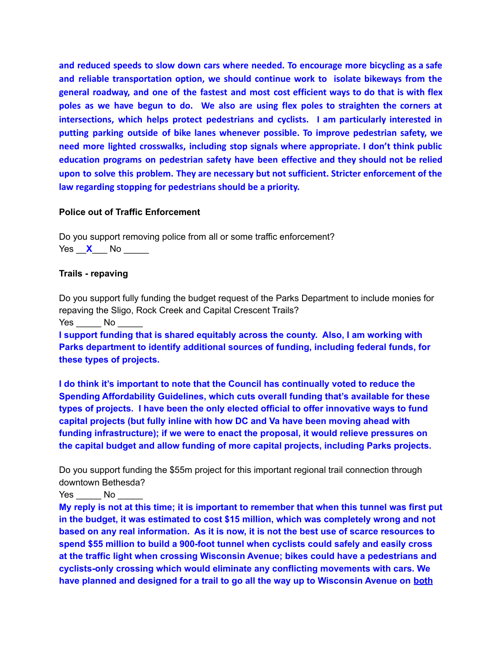**and reduced speeds to slow down cars where needed. To encourage more bicycling as a safe and reliable transportation option, we should continue work to isolate bikeways from the general roadway, and one of the fastest and most cost efficient ways to do that is with flex poles as we have begun to do. We also are using flex poles to straighten the corners at intersections, which helps protect pedestrians and cyclists. I am particularly interested in putting parking outside of bike lanes whenever possible. To improve pedestrian safety, we need more lighted crosswalks, including stop signals where appropriate. I don't think public education programs on pedestrian safety have been effective and they should not be relied upon to solve this problem. They are necessary but not sufficient. Stricter enforcement of the law regarding stopping for pedestrians should be a priority.**

# **Police out of Traffic Enforcement**

Do you support removing police from all or some traffic enforcement? Yes  $\times$  No  $\overline{\phantom{1}}$ 

# **Trails - repaving**

Do you support fully funding the budget request of the Parks Department to include monies for repaving the Sligo, Rock Creek and Capital Crescent Trails? Yes No

**I support funding that is shared equitably across the county. Also, I am working with Parks department to identify additional sources of funding, including federal funds, for these types of projects.**

**I do think it's important to note that the Council has continually voted to reduce the Spending Affordability Guidelines, which cuts overall funding that's available for these types of projects. I have been the only elected official to offer innovative ways to fund capital projects (but fully inline with how DC and Va have been moving ahead with funding infrastructure); if we were to enact the proposal, it would relieve pressures on the capital budget and allow funding of more capital projects, including Parks projects.**

Do you support funding the \$55m project for this important regional trail connection through downtown Bethesda?

Yes No

**My reply is not at this time; it is important to remember that when this tunnel was first put in the budget, it was estimated to cost \$15 million, which was completely wrong and not based on any real information. As it is now, it is not the best use of scarce resources to spend \$55 million to build a 900-foot tunnel when cyclists could safely and easily cross at the traffic light when crossing Wisconsin Avenue; bikes could have a pedestrians and cyclists-only crossing which would eliminate any conflicting movements with cars. We have planned and designed for a trail to go all the way up to Wisconsin Avenue on both**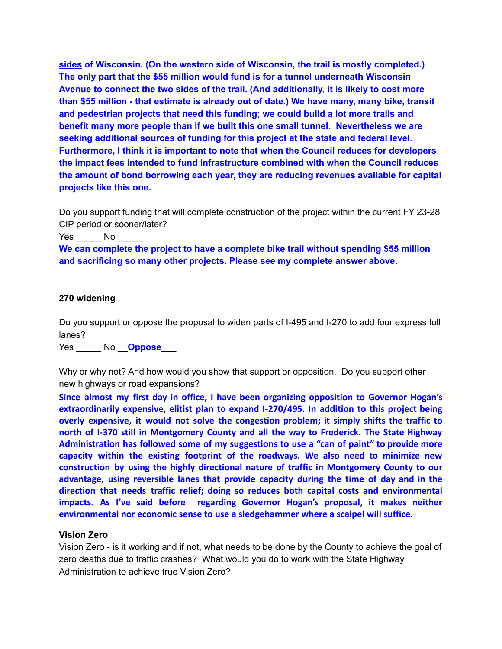**sides of Wisconsin. (On the western side of Wisconsin, the trail is mostly completed.) The only part that the \$55 million would fund is for a tunnel underneath Wisconsin Avenue to connect the two sides of the trail. (And additionally, it is likely to cost more than \$55 million - that estimate is already out of date.) We have many, many bike, transit and pedestrian projects that need this funding; we could build a lot more trails and benefit many more people than if we built this one small tunnel. Nevertheless we are seeking additional sources of funding for this project at the state and federal level. Furthermore, I think it is important to note that when the Council reduces for developers the impact fees intended to fund infrastructure combined with when the Council reduces the amount of bond borrowing each year, they are reducing revenues available for capital projects like this one.**

Do you support funding that will complete construction of the project within the current FY 23-28 CIP period or sooner/later?

Yes No

**We can complete the project to have a complete bike trail without spending \$55 million and sacrificing so many other projects. Please see my complete answer above.**

### **270 widening**

Do you support or oppose the proposal to widen parts of I-495 and I-270 to add four express toll lanes?

Yes \_\_\_\_\_ No \_\_**Oppose**\_\_\_

Why or why not? And how would you show that support or opposition. Do you support other new highways or road expansions?

**Since almost my first day in office, I have been organizing opposition to Governor Hogan's extraordinarily expensive, elitist plan to expand I-270/495. In addition to this project being overly expensive, it would not solve the congestion problem; it simply shifts the traffic to north of I-370 still in Montgomery County and all the way to Frederick. The State Highway Administration has followed some of my suggestions to use a "can of paint" to provide more capacity within the existing footprint of the roadways. We also need to minimize new construction by using the highly directional nature of traffic in Montgomery County to our advantage, using reversible lanes that provide capacity during the time of day and in the direction that needs traffic relief; doing so reduces both capital costs and environmental impacts. As I've said before regarding Governor Hogan's proposal, it makes neither environmental nor economic sense to use a sledgehammer where a scalpel will suffice.**

### **Vision Zero**

Vision Zero - is it working and if not, what needs to be done by the County to achieve the goal of zero deaths due to traffic crashes? What would you do to work with the State Highway Administration to achieve true Vision Zero?